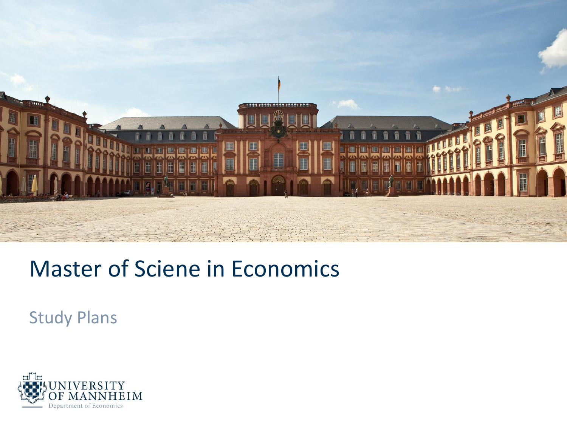

# Master of Sciene in Economics

Study Plans

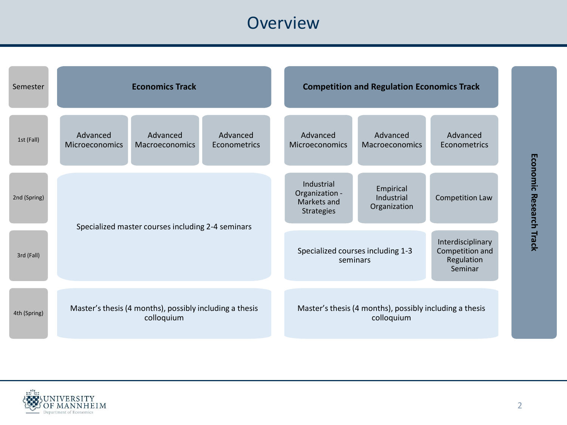# **Overview**

| Semester     | <b>Economics Track</b>                                                |                            |                          | <b>Competition and Regulation Economics Track</b> |                                                                                                                |                                                                       |                          |
|--------------|-----------------------------------------------------------------------|----------------------------|--------------------------|---------------------------------------------------|----------------------------------------------------------------------------------------------------------------|-----------------------------------------------------------------------|--------------------------|
| 1st (Fall)   | Advanced<br><b>Microeconomics</b>                                     | Advanced<br>Macroeconomics | Advanced<br>Econometrics |                                                   | Advanced<br><b>Microeconomics</b>                                                                              | Advanced<br><b>Macroeconomics</b>                                     | Advanced<br>Econometrics |
| 2nd (Spring) |                                                                       |                            |                          |                                                   | Industrial<br>Organization -<br>Markets and<br><b>Strategies</b>                                               | Empirical<br>Industrial<br>Organization                               | Competition Law          |
| 3rd (Fall)   | Specialized master courses including 2-4 seminars                     |                            |                          |                                                   | Interdisciplinary<br>Specialized courses including 1-3<br>Competition and<br>Regulation<br>seminars<br>Seminar |                                                                       |                          |
| 4th (Spring) | Master's thesis (4 months), possibly including a thesis<br>colloquium |                            |                          |                                                   |                                                                                                                | Master's thesis (4 months), possibly including a thesis<br>colloquium |                          |

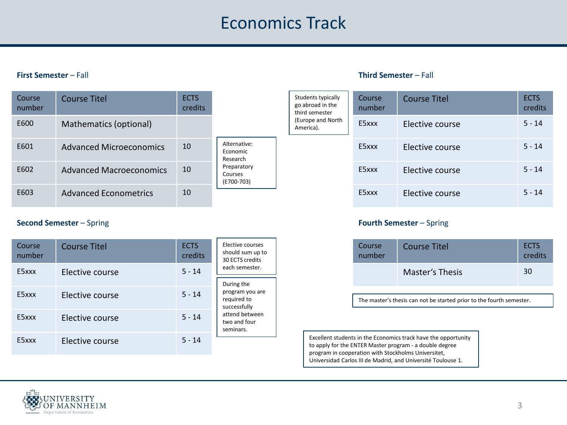## Economics Track

#### **First Semester** – Fall

| Course<br>number | <b>Course Titel</b>          | <b>ECTS</b><br>credits |                                      |
|------------------|------------------------------|------------------------|--------------------------------------|
| E600             | Mathematics (optional)       |                        |                                      |
| F601             | Advanced Microeconomics      | 10                     | Alternative:<br>Economic<br>Research |
| E602             | Advanced Macroeconomics      | 10                     | Preparatory<br>Courses<br>(E700-703) |
| E603             | <b>Advanced Econometrics</b> | 10                     |                                      |

### **Second Semester** – Spring

| Course<br>number | <b>Course Titel</b> | <b>ECTS</b><br>credits | Elective courses<br>should sum up to<br>30 ECTS credits                                       |  |
|------------------|---------------------|------------------------|-----------------------------------------------------------------------------------------------|--|
| E5xxx            | Elective course     | $5 - 14$               | each semester.                                                                                |  |
|                  |                     |                        | During the                                                                                    |  |
| E5xxx            | Elective course     | $5 - 14$               | program you are<br>required to<br>successfully<br>attend between<br>two and four<br>seminars. |  |
| E5xxx            | Elective course     | $5 - 14$               |                                                                                               |  |
| E5xxx            | Elective course     | $5 - 14$               |                                                                                               |  |

#### **Third Semester** – Fall

| Students typically<br>go abroad in the<br>third semester<br>(Europe and North<br>America). | Course<br>number | <b>Course Titel</b> | <b>ECTS</b><br>credits |
|--------------------------------------------------------------------------------------------|------------------|---------------------|------------------------|
|                                                                                            | E5xxx            | Elective course     | $5 - 14$               |
|                                                                                            | E5xxx            | Elective course     | $5 - 14$               |
|                                                                                            | E5xxx            | Elective course     | $5 - 14$               |
|                                                                                            | E5xxx            | Elective course     | $5 - 14$               |

### **Fourth Semester** – Spring

| Course<br>number | Course Titel    |    |
|------------------|-----------------|----|
|                  | Master's Thesis | 30 |

The master's thesis can not be started prior to the fourth semester.

Excellent students in the Economics track have the opportunity to apply for the ENTER Master program - a double degree program in cooperation with Stockholms Universitet, Universidad Carlos III de Madrid, and Université Toulouse 1.

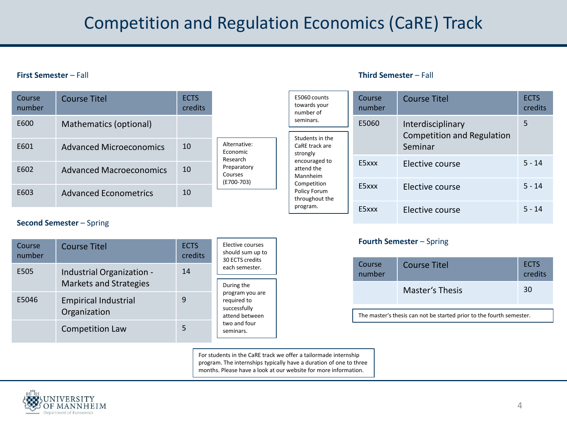# Competition and Regulation Economics (CaRE) Track

#### **First Semester** – Fall

| Course<br>number | <b>Course Titel</b>            | <b>ECTS</b><br>credits |                                      |  |
|------------------|--------------------------------|------------------------|--------------------------------------|--|
| E600             | Mathematics (optional)         |                        |                                      |  |
| E601             | Advanced Microeconomics        | 10                     | Alternative:<br>Economic<br>Research |  |
| F602             | <b>Advanced Macroeconomics</b> | 10                     | Preparatory<br>Courses<br>(E700-703) |  |
| F603             | Advanced Econometrics          | 10                     |                                      |  |

#### **Third Semester** – Fall

| E5060 counts<br>towards your<br>number of           | Course<br>number | <b>Course Titel</b>                                                                              | <b>ECTS</b><br>credits<br>5<br>$5 - 14$<br>$5 - 14$ |  |  |
|-----------------------------------------------------|------------------|--------------------------------------------------------------------------------------------------|-----------------------------------------------------|--|--|
| seminars.<br>Students in the<br>CaRE track are      | E5060            | Interdisciplinary<br>Competition and Regulation<br>Seminar<br>Elective course<br>Elective course |                                                     |  |  |
| strongly<br>encouraged to<br>attend the<br>Mannheim | E5xxx            |                                                                                                  |                                                     |  |  |
| Competition<br>Policy Forum<br>throughout the       | E5xxx            |                                                                                                  |                                                     |  |  |
| program.                                            | E5xxx            | Elective course                                                                                  | $5 - 14$                                            |  |  |

### **Second Semester** – Spring

| Course<br>number | <b>Course Titel</b>                                        | <b>ECTS</b><br>credits | Elective courses<br>should sum up to<br>30 ECTS credits          |  |
|------------------|------------------------------------------------------------|------------------------|------------------------------------------------------------------|--|
| E505             | Industrial Organization -<br><b>Markets and Strategies</b> | 14                     | each semester.<br>During the                                     |  |
| E5046            | <b>Empirical Industrial</b><br>Organization                | 9                      | program you are<br>required to<br>successfully<br>attend between |  |
|                  | <b>Competition Law</b>                                     | 5                      | two and four<br>seminars.                                        |  |

#### **Fourth Semester** – Spring

| Course<br>number | Course Titel    | <b>ECTS</b><br>credits |
|------------------|-----------------|------------------------|
|                  | Master's Thesis | 30                     |

The master's thesis can not be started prior to the fourth semester.

For students in the CaRE track we offer a tailormade internship program. The internships typically have a duration of one to three months. Please have a look at our website for more information.